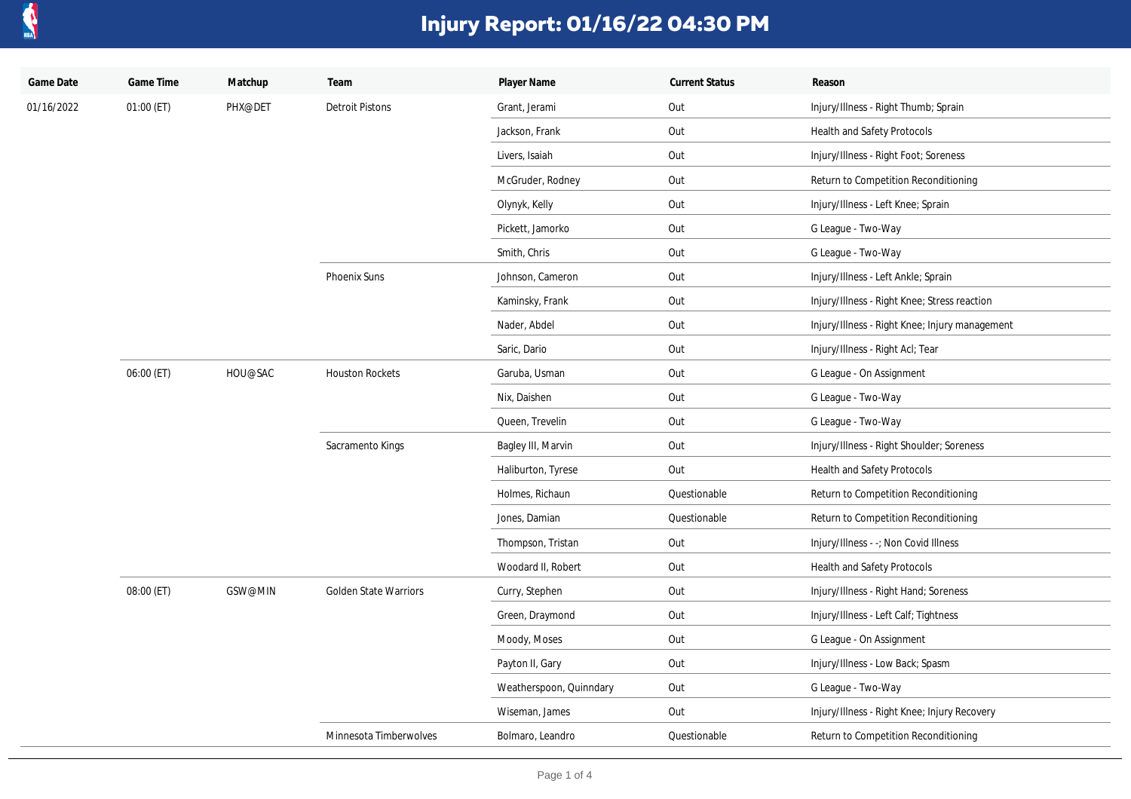

| Game Date  | Game Time  | Matchup | Team                         | Player Name             | <b>Current Status</b> | Reason                                         |
|------------|------------|---------|------------------------------|-------------------------|-----------------------|------------------------------------------------|
| 01/16/2022 | 01:00 (ET) | PHX@DET | <b>Detroit Pistons</b>       | Grant, Jerami           | Out                   | Injury/Illness - Right Thumb; Sprain           |
|            |            |         |                              | Jackson, Frank          | Out                   | <b>Health and Safety Protocols</b>             |
|            |            |         |                              | Livers, Isaiah          | Out                   | Injury/Illness - Right Foot; Soreness          |
|            |            |         |                              | McGruder, Rodney        | Out                   | Return to Competition Reconditioning           |
|            |            |         |                              | Olynyk, Kelly           | Out                   | Injury/Illness - Left Knee; Sprain             |
|            |            |         |                              | Pickett, Jamorko        | Out                   | G League - Two-Way                             |
|            |            |         |                              | Smith, Chris            | Out                   | G League - Two-Way                             |
|            |            |         | Phoenix Suns                 | Johnson, Cameron        | Out                   | Injury/Illness - Left Ankle; Sprain            |
|            |            |         |                              | Kaminsky, Frank         | Out                   | Injury/Illness - Right Knee; Stress reaction   |
|            |            |         |                              | Nader, Abdel            | Out                   | Injury/Illness - Right Knee; Injury management |
|            |            |         |                              | Saric, Dario            | Out                   | Injury/Illness - Right Acl; Tear               |
|            | 06:00 (ET) | HOU@SAC | <b>Houston Rockets</b>       | Garuba, Usman           | Out                   | G League - On Assignment                       |
|            |            |         |                              | Nix, Daishen            | Out                   | G League - Two-Way                             |
|            |            |         |                              | Queen, Trevelin         | Out                   | G League - Two-Way                             |
|            |            |         | Sacramento Kings             | Bagley III, Marvin      | Out                   | Injury/Illness - Right Shoulder; Soreness      |
|            |            |         |                              | Haliburton, Tyrese      | Out                   | <b>Health and Safety Protocols</b>             |
|            |            |         |                              | Holmes, Richaun         | Questionable          | Return to Competition Reconditioning           |
|            |            |         |                              | Jones, Damian           | Questionable          | Return to Competition Reconditioning           |
|            |            |         |                              | Thompson, Tristan       | Out                   | Injury/Illness - -; Non Covid Illness          |
|            |            |         |                              | Woodard II, Robert      | Out                   | Health and Safety Protocols                    |
|            | 08:00 (ET) | GSW@MIN | <b>Golden State Warriors</b> | Curry, Stephen          | Out                   | Injury/Illness - Right Hand; Soreness          |
|            |            |         |                              | Green, Draymond         | Out                   | Injury/Illness - Left Calf; Tightness          |
|            |            |         |                              | Moody, Moses            | Out                   | G League - On Assignment                       |
|            |            |         |                              | Payton II, Gary         | Out                   | Injury/Illness - Low Back; Spasm               |
|            |            |         |                              | Weatherspoon, Quinndary | Out                   | G League - Two-Way                             |
|            |            |         |                              | Wiseman, James          | Out                   | Injury/Illness - Right Knee; Injury Recovery   |
|            |            |         | Minnesota Timberwolves       | Bolmaro, Leandro        | Questionable          | Return to Competition Reconditioning           |
|            |            |         |                              |                         |                       |                                                |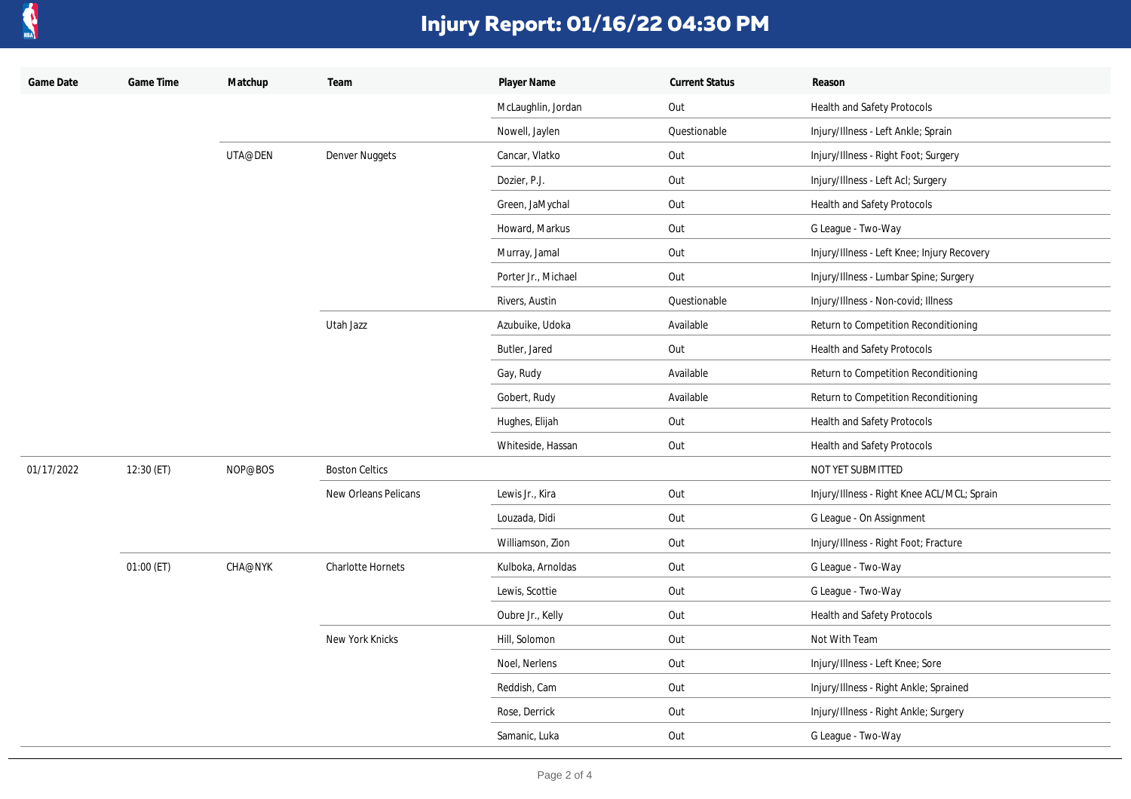

| Game Date  | Game Time  | Matchup        | Team                     | Player Name         | <b>Current Status</b> | Reason                                      |
|------------|------------|----------------|--------------------------|---------------------|-----------------------|---------------------------------------------|
|            |            |                |                          | McLaughlin, Jordan  | Out                   | Health and Safety Protocols                 |
|            |            |                |                          | Nowell, Jaylen      | Questionable          | Injury/Illness - Left Ankle; Sprain         |
|            |            | UTA@DEN        | Denver Nuggets           | Cancar, Vlatko      | Out                   | Injury/Illness - Right Foot; Surgery        |
|            |            |                |                          | Dozier, P.J.        | Out                   | Injury/Illness - Left Acl; Surgery          |
|            |            |                |                          | Green, JaMychal     | Out                   | <b>Health and Safety Protocols</b>          |
|            |            |                |                          | Howard, Markus      | Out                   | G League - Two-Way                          |
|            |            |                |                          | Murray, Jamal       | Out                   | Injury/Illness - Left Knee; Injury Recovery |
|            |            |                |                          | Porter Jr., Michael | Out                   | Injury/Illness - Lumbar Spine; Surgery      |
|            |            |                |                          | Rivers, Austin      | Questionable          | Injury/Illness - Non-covid; Illness         |
|            |            |                | Utah Jazz                | Azubuike, Udoka     | Available             | Return to Competition Reconditioning        |
|            |            |                |                          | Butler, Jared       | Out                   | Health and Safety Protocols                 |
|            |            |                |                          | Gay, Rudy           | Available             | Return to Competition Reconditioning        |
|            |            |                |                          | Gobert, Rudy        | Available             | Return to Competition Reconditioning        |
|            |            |                |                          | Hughes, Elijah      | Out                   | <b>Health and Safety Protocols</b>          |
|            |            |                |                          | Whiteside, Hassan   | Out                   | <b>Health and Safety Protocols</b>          |
| 01/17/2022 | 12:30 (ET) | NOP@BOS        | <b>Boston Celtics</b>    |                     |                       | NOT YET SUBMITTED                           |
|            |            |                | New Orleans Pelicans     | Lewis Jr., Kira     | Out                   | Injury/Illness - Right Knee ACL/MCL; Sprain |
|            |            |                |                          | Louzada, Didi       | Out                   | G League - On Assignment                    |
|            |            |                |                          | Williamson, Zion    | Out                   | Injury/Illness - Right Foot; Fracture       |
|            | 01:00 (ET) | <b>CHA@NYK</b> | <b>Charlotte Hornets</b> | Kulboka, Arnoldas   | Out                   | G League - Two-Way                          |
|            |            |                |                          | Lewis, Scottie      | Out                   | G League - Two-Way                          |
|            |            |                |                          | Oubre Jr., Kelly    | Out                   | Health and Safety Protocols                 |
|            |            |                | New York Knicks          | Hill, Solomon       | Out                   | Not With Team                               |
|            |            |                |                          | Noel, Nerlens       | Out                   | Injury/Illness - Left Knee; Sore            |
|            |            |                |                          | Reddish, Cam        | Out                   | Injury/Illness - Right Ankle; Sprained      |
|            |            |                |                          | Rose, Derrick       | Out                   | Injury/Illness - Right Ankle; Surgery       |
|            |            |                |                          | Samanic, Luka       | Out                   | G League - Two-Way                          |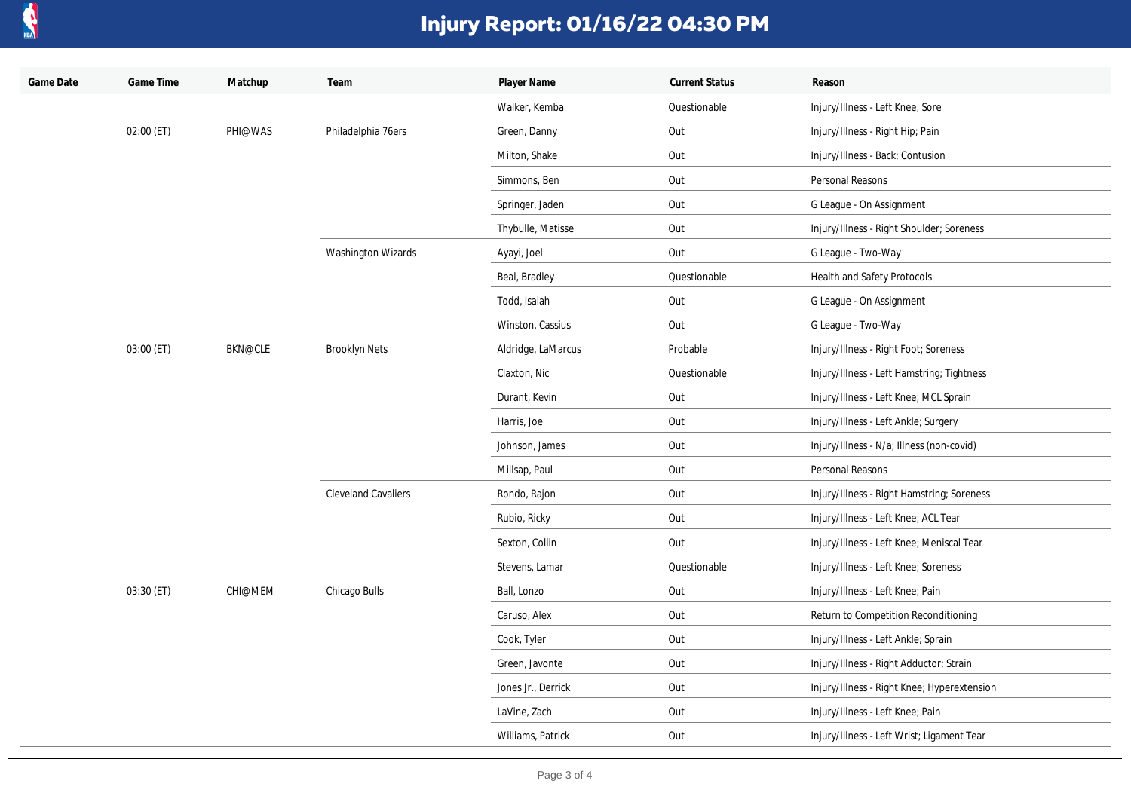

| Game Date | Game Time  | Matchup        | Team                       | Player Name        | <b>Current Status</b> | Reason                                      |
|-----------|------------|----------------|----------------------------|--------------------|-----------------------|---------------------------------------------|
|           |            |                |                            | Walker, Kemba      | Questionable          | Injury/Illness - Left Knee; Sore            |
|           | 02:00 (ET) | PHI@WAS        | Philadelphia 76ers         | Green, Danny       | Out                   | Injury/Illness - Right Hip; Pain            |
|           |            |                |                            | Milton, Shake      | Out                   | Injury/Illness - Back; Contusion            |
|           |            |                |                            | Simmons, Ben       | Out                   | Personal Reasons                            |
|           |            |                |                            | Springer, Jaden    | Out                   | G League - On Assignment                    |
|           |            |                |                            | Thybulle, Matisse  | Out                   | Injury/Illness - Right Shoulder; Soreness   |
|           |            |                | Washington Wizards         | Ayayi, Joel        | Out                   | G League - Two-Way                          |
|           |            |                |                            | Beal, Bradley      | Questionable          | Health and Safety Protocols                 |
|           |            |                |                            | Todd, Isaiah       | Out                   | G League - On Assignment                    |
|           |            |                |                            | Winston, Cassius   | Out                   | G League - Two-Way                          |
|           | 03:00 (ET) | <b>BKN@CLE</b> | <b>Brooklyn Nets</b>       | Aldridge, LaMarcus | Probable              | Injury/Illness - Right Foot; Soreness       |
|           |            |                |                            | Claxton, Nic       | Questionable          | Injury/Illness - Left Hamstring; Tightness  |
|           |            |                |                            | Durant, Kevin      | Out                   | Injury/Illness - Left Knee; MCL Sprain      |
|           |            |                |                            | Harris, Joe        | Out                   | Injury/Illness - Left Ankle; Surgery        |
|           |            |                |                            | Johnson, James     | Out                   | Injury/Illness - N/a; Illness (non-covid)   |
|           |            |                |                            | Millsap, Paul      | Out                   | Personal Reasons                            |
|           |            |                | <b>Cleveland Cavaliers</b> | Rondo, Rajon       | Out                   | Injury/Illness - Right Hamstring; Soreness  |
|           |            |                |                            | Rubio, Ricky       | Out                   | Injury/Illness - Left Knee; ACL Tear        |
|           |            |                |                            | Sexton, Collin     | Out                   | Injury/Illness - Left Knee; Meniscal Tear   |
|           |            |                |                            | Stevens, Lamar     | Questionable          | Injury/Illness - Left Knee; Soreness        |
|           | 03:30 (ET) | CHI@MEM        | Chicago Bulls              | Ball, Lonzo        | Out                   | Injury/Illness - Left Knee; Pain            |
|           |            |                |                            | Caruso, Alex       | Out                   | Return to Competition Reconditioning        |
|           |            |                |                            | Cook, Tyler        | Out                   | Injury/Illness - Left Ankle; Sprain         |
|           |            |                |                            | Green, Javonte     | Out                   | Injury/Illness - Right Adductor; Strain     |
|           |            |                |                            | Jones Jr., Derrick | Out                   | Injury/Illness - Right Knee; Hyperextension |
|           |            |                |                            | LaVine, Zach       | Out                   | Injury/Illness - Left Knee; Pain            |
|           |            |                |                            | Williams, Patrick  | Out                   | Injury/Illness - Left Wrist; Ligament Tear  |
|           |            |                |                            |                    |                       |                                             |